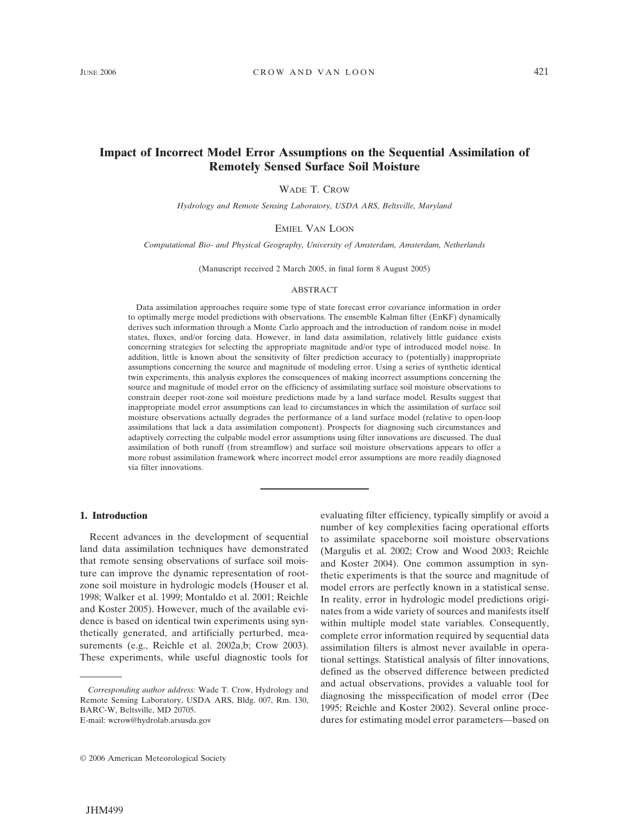# **Impact of Incorrect Model Error Assumptions on the Sequential Assimilation of Remotely Sensed Surface Soil Moisture**

WADE T. CROW

*Hydrology and Remote Sensing Laboratory, USDA ARS, Beltsville, Maryland*

EMIEL VAN LOON

*Computational Bio- and Physical Geography, University of Amsterdam, Amsterdam, Netherlands*

(Manuscript received 2 March 2005, in final form 8 August 2005)

# ABSTRACT

Data assimilation approaches require some type of state forecast error covariance information in order to optimally merge model predictions with observations. The ensemble Kalman filter (EnKF) dynamically derives such information through a Monte Carlo approach and the introduction of random noise in model states, fluxes, and/or forcing data. However, in land data assimilation, relatively little guidance exists concerning strategies for selecting the appropriate magnitude and/or type of introduced model noise. In addition, little is known about the sensitivity of filter prediction accuracy to (potentially) inappropriate assumptions concerning the source and magnitude of modeling error. Using a series of synthetic identical twin experiments, this analysis explores the consequences of making incorrect assumptions concerning the source and magnitude of model error on the efficiency of assimilating surface soil moisture observations to constrain deeper root-zone soil moisture predictions made by a land surface model. Results suggest that inappropriate model error assumptions can lead to circumstances in which the assimilation of surface soil moisture observations actually degrades the performance of a land surface model (relative to open-loop assimilations that lack a data assimilation component). Prospects for diagnosing such circumstances and adaptively correcting the culpable model error assumptions using filter innovations are discussed. The dual assimilation of both runoff (from streamflow) and surface soil moisture observations appears to offer a more robust assimilation framework where incorrect model error assumptions are more readily diagnosed via filter innovations.

## **1. Introduction**

Recent advances in the development of sequential land data assimilation techniques have demonstrated that remote sensing observations of surface soil moisture can improve the dynamic representation of rootzone soil moisture in hydrologic models (Houser et al. 1998; Walker et al. 1999; Montaldo et al. 2001; Reichle and Koster 2005). However, much of the available evidence is based on identical twin experiments using synthetically generated, and artificially perturbed, measurements (e.g., Reichle et al. 2002a,b; Crow 2003). These experiments, while useful diagnostic tools for

E-mail: wcrow@hydrolab.arsusda.gov

evaluating filter efficiency, typically simplify or avoid a number of key complexities facing operational efforts to assimilate spaceborne soil moisture observations (Margulis et al. 2002; Crow and Wood 2003; Reichle and Koster 2004). One common assumption in synthetic experiments is that the source and magnitude of model errors are perfectly known in a statistical sense. In reality, error in hydrologic model predictions originates from a wide variety of sources and manifests itself within multiple model state variables. Consequently, complete error information required by sequential data assimilation filters is almost never available in operational settings. Statistical analysis of filter innovations, defined as the observed difference between predicted and actual observations, provides a valuable tool for diagnosing the misspecification of model error (Dee 1995; Reichle and Koster 2002). Several online procedures for estimating model error parameters—based on

*Corresponding author address:* Wade T. Crow, Hydrology and Remote Sensing Laboratory, USDA ARS, Bldg. 007, Rm. 130, BARC-W, Beltsville, MD 20705.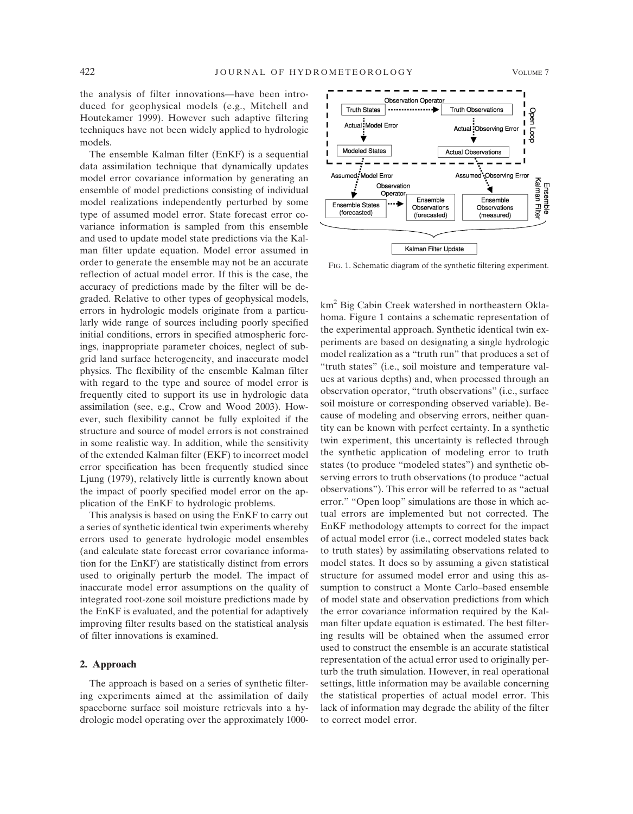the analysis of filter innovations—have been introduced for geophysical models (e.g., Mitchell and Houtekamer 1999). However such adaptive filtering techniques have not been widely applied to hydrologic models.

The ensemble Kalman filter (EnKF) is a sequential data assimilation technique that dynamically updates model error covariance information by generating an ensemble of model predictions consisting of individual model realizations independently perturbed by some type of assumed model error. State forecast error covariance information is sampled from this ensemble and used to update model state predictions via the Kalman filter update equation. Model error assumed in order to generate the ensemble may not be an accurate reflection of actual model error. If this is the case, the accuracy of predictions made by the filter will be degraded. Relative to other types of geophysical models, errors in hydrologic models originate from a particularly wide range of sources including poorly specified initial conditions, errors in specified atmospheric forcings, inappropriate parameter choices, neglect of subgrid land surface heterogeneity, and inaccurate model physics. The flexibility of the ensemble Kalman filter with regard to the type and source of model error is frequently cited to support its use in hydrologic data assimilation (see, e.g., Crow and Wood 2003). However, such flexibility cannot be fully exploited if the structure and source of model errors is not constrained in some realistic way. In addition, while the sensitivity of the extended Kalman filter (EKF) to incorrect model error specification has been frequently studied since Ljung (1979), relatively little is currently known about the impact of poorly specified model error on the application of the EnKF to hydrologic problems.

This analysis is based on using the EnKF to carry out a series of synthetic identical twin experiments whereby errors used to generate hydrologic model ensembles (and calculate state forecast error covariance information for the EnKF) are statistically distinct from errors used to originally perturb the model. The impact of inaccurate model error assumptions on the quality of integrated root-zone soil moisture predictions made by the EnKF is evaluated, and the potential for adaptively improving filter results based on the statistical analysis of filter innovations is examined.

#### **2. Approach**

The approach is based on a series of synthetic filtering experiments aimed at the assimilation of daily spaceborne surface soil moisture retrievals into a hydrologic model operating over the approximately 1000-



FIG. 1. Schematic diagram of the synthetic filtering experiment.

km2 Big Cabin Creek watershed in northeastern Oklahoma. Figure 1 contains a schematic representation of the experimental approach. Synthetic identical twin experiments are based on designating a single hydrologic model realization as a "truth run" that produces a set of "truth states" (i.e., soil moisture and temperature values at various depths) and, when processed through an observation operator, "truth observations" (i.e., surface soil moisture or corresponding observed variable). Because of modeling and observing errors, neither quantity can be known with perfect certainty. In a synthetic twin experiment, this uncertainty is reflected through the synthetic application of modeling error to truth states (to produce "modeled states") and synthetic observing errors to truth observations (to produce "actual observations"). This error will be referred to as "actual error." "Open loop" simulations are those in which actual errors are implemented but not corrected. The EnKF methodology attempts to correct for the impact of actual model error (i.e., correct modeled states back to truth states) by assimilating observations related to model states. It does so by assuming a given statistical structure for assumed model error and using this assumption to construct a Monte Carlo–based ensemble of model state and observation predictions from which the error covariance information required by the Kalman filter update equation is estimated. The best filtering results will be obtained when the assumed error used to construct the ensemble is an accurate statistical representation of the actual error used to originally perturb the truth simulation. However, in real operational settings, little information may be available concerning the statistical properties of actual model error. This lack of information may degrade the ability of the filter to correct model error.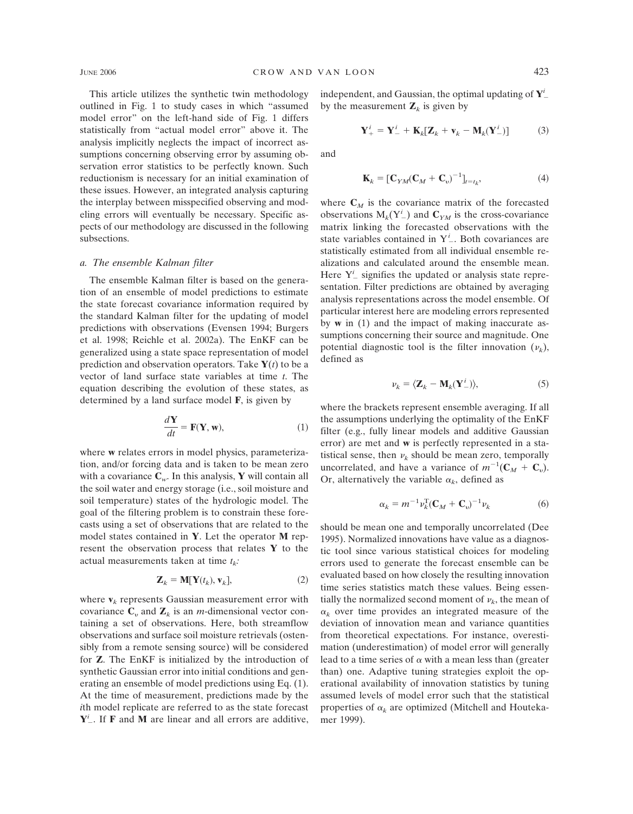This article utilizes the synthetic twin methodology outlined in Fig. 1 to study cases in which "assumed model error" on the left-hand side of Fig. 1 differs statistically from "actual model error" above it. The analysis implicitly neglects the impact of incorrect assumptions concerning observing error by assuming observation error statistics to be perfectly known. Such reductionism is necessary for an initial examination of these issues. However, an integrated analysis capturing the interplay between misspecified observing and modeling errors will eventually be necessary. Specific aspects of our methodology are discussed in the following subsections.

### *a. The ensemble Kalman filter*

The ensemble Kalman filter is based on the generation of an ensemble of model predictions to estimate the state forecast covariance information required by the standard Kalman filter for the updating of model predictions with observations (Evensen 1994; Burgers et al. 1998; Reichle et al. 2002a). The EnKF can be generalized using a state space representation of model prediction and observation operators. Take  $Y(t)$  to be a vector of land surface state variables at time *t*. The equation describing the evolution of these states, as determined by a land surface model **F**, is given by

$$
\frac{d\mathbf{Y}}{dt} = \mathbf{F}(\mathbf{Y}, \mathbf{w}),\tag{1}
$$

where **w** relates errors in model physics, parameterization, and/or forcing data and is taken to be mean zero with a covariance  $C_w$ . In this analysis, **Y** will contain all the soil water and energy storage (i.e., soil moisture and soil temperature) states of the hydrologic model. The goal of the filtering problem is to constrain these forecasts using a set of observations that are related to the model states contained in **Y**. Let the operator **M** represent the observation process that relates **Y** to the actual measurements taken at time  $t_k$ .

$$
\mathbf{Z}_k = \mathbf{M}[\mathbf{Y}(t_k), \mathbf{v}_k],\tag{2}
$$

where  $\mathbf{v}_k$  represents Gaussian measurement error with covariance  $\mathbf{C}_v$  and  $\mathbf{Z}_k$  is an *m*-dimensional vector containing a set of observations. Here, both streamflow observations and surface soil moisture retrievals (ostensibly from a remote sensing source) will be considered for **Z**. The EnKF is initialized by the introduction of synthetic Gaussian error into initial conditions and generating an ensemble of model predictions using Eq. (1). At the time of measurement, predictions made by the *i*th model replicate are referred to as the state forecast **Y***i* . If **F** and **M** are linear and all errors are additive,

independent, and Gaussian, the optimal updating of **Y***<sup>i</sup>* by the measurement  $\mathbf{Z}_k$  is given by

$$
\mathbf{Y}_{+}^{i} = \mathbf{Y}_{-}^{i} + \mathbf{K}_{k}[\mathbf{Z}_{k} + \mathbf{v}_{k} - \mathbf{M}_{k}(\mathbf{Y}_{-}^{i})] \tag{3}
$$

and

$$
\mathbf{K}_k = [\mathbf{C}_{YM}(\mathbf{C}_M + \mathbf{C}_v)^{-1}]_{t=t_k},\tag{4}
$$

where  $C_M$  is the covariance matrix of the forecasted observations  $M_k(Y^i)$  and  $C_{YM}$  is the cross-covariance matrix linking the forecasted observations with the state variables contained in Y*<sup>i</sup>* . Both covariances are statistically estimated from all individual ensemble realizations and calculated around the ensemble mean. Here Y<sup>*i*</sup> signifies the updated or analysis state representation. Filter predictions are obtained by averaging analysis representations across the model ensemble. Of particular interest here are modeling errors represented by **w** in (1) and the impact of making inaccurate assumptions concerning their source and magnitude. One potential diagnostic tool is the filter innovation  $(\nu_k)$ , defined as

$$
\nu_k = \langle \mathbf{Z}_k - \mathbf{M}_k (\mathbf{Y}_-^i) \rangle, \tag{5}
$$

where the brackets represent ensemble averaging. If all the assumptions underlying the optimality of the EnKF filter (e.g., fully linear models and additive Gaussian error) are met and **w** is perfectly represented in a statistical sense, then  $\nu_k$  should be mean zero, temporally uncorrelated, and have a variance of  $m^{-1}(\mathbf{C}_M + \mathbf{C}_v)$ . Or, alternatively the variable  $\alpha_k$ , defined as

$$
\alpha_k = m^{-1} \nu_k^{\mathrm{T}} (\mathbf{C}_M + \mathbf{C}_v)^{-1} \nu_k \tag{6}
$$

should be mean one and temporally uncorrelated (Dee 1995). Normalized innovations have value as a diagnostic tool since various statistical choices for modeling errors used to generate the forecast ensemble can be evaluated based on how closely the resulting innovation time series statistics match these values. Being essentially the normalized second moment of  $\nu_k$ , the mean of  $\alpha_k$  over time provides an integrated measure of the deviation of innovation mean and variance quantities from theoretical expectations. For instance, overestimation (underestimation) of model error will generally lead to a time series of  $\alpha$  with a mean less than (greater than) one. Adaptive tuning strategies exploit the operational availability of innovation statistics by tuning assumed levels of model error such that the statistical properties of  $\alpha_k$  are optimized (Mitchell and Houtekamer 1999).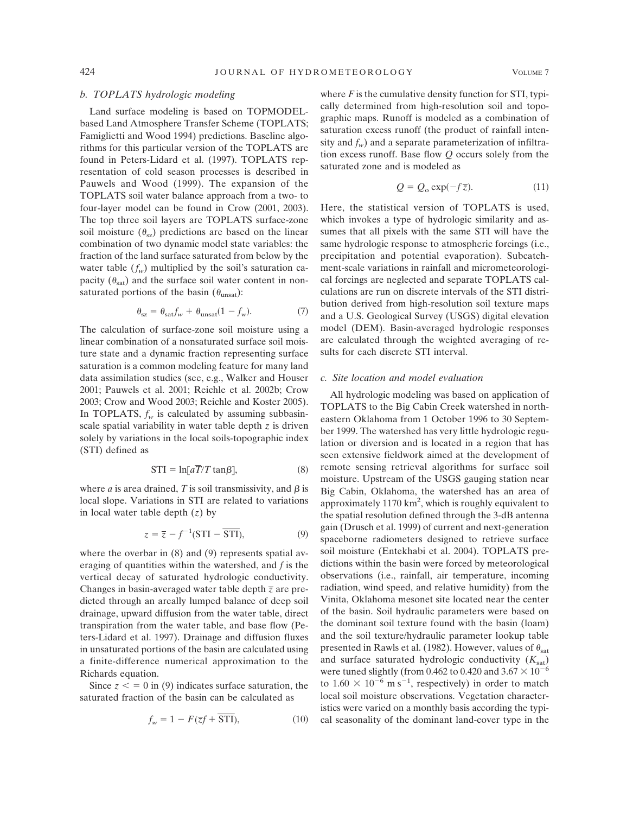# *b. TOPLATS hydrologic modeling*

Land surface modeling is based on TOPMODELbased Land Atmosphere Transfer Scheme (TOPLATS; Famiglietti and Wood 1994) predictions. Baseline algorithms for this particular version of the TOPLATS are found in Peters-Lidard et al. (1997). TOPLATS representation of cold season processes is described in Pauwels and Wood (1999). The expansion of the TOPLATS soil water balance approach from a two- to four-layer model can be found in Crow (2001, 2003). The top three soil layers are TOPLATS surface-zone soil moisture  $(\theta_{\rm sz})$  predictions are based on the linear combination of two dynamic model state variables: the fraction of the land surface saturated from below by the water table  $(f_w)$  multiplied by the soil's saturation capacity  $(\theta_{\text{sat}})$  and the surface soil water content in nonsaturated portions of the basin  $(\theta_{\text{unsat}})$ :

$$
\theta_{\rm sz} = \theta_{\rm sat} f_{w} + \theta_{\rm unsat} (1 - f_{w}). \tag{7}
$$

The calculation of surface-zone soil moisture using a linear combination of a nonsaturated surface soil moisture state and a dynamic fraction representing surface saturation is a common modeling feature for many land data assimilation studies (see, e.g., Walker and Houser 2001; Pauwels et al. 2001; Reichle et al. 2002b; Crow 2003; Crow and Wood 2003; Reichle and Koster 2005). In TOPLATS,  $f_w$  is calculated by assuming subbasinscale spatial variability in water table depth *z* is driven solely by variations in the local soils-topographic index (STI) defined as

$$
STI = \ln[a\overline{T}/T \tan\beta],\tag{8}
$$

where *a* is area drained, *T* is soil transmissivity, and  $\beta$  is local slope. Variations in STI are related to variations<br>
in local water table depth (z) by<br>  $z = \overline{z} - f^{-1}(\text{STI} - \overline{\text{STI}})$ , (9) in local water table depth (*z*) by

$$
z = \overline{z} - f^{-1}(\text{STI} - \overline{\text{STI}}),\tag{9}
$$

where the overbar in  $(8)$  and  $(9)$  represents spatial averaging of quantities within the watershed, and *f* is the vertical decay of saturated hydrologic conductivity. Changes in basin-averaged water table depth *z* are predicted through an areally lumped balance of deep soil drainage, upward diffusion from the water table, direct transpiration from the water table, and base flow (Peters-Lidard et al. 1997). Drainage and diffusion fluxes in unsaturated portions of the basin are calculated using a finite-difference numerical approximation to the Richards equation.

Since  $z < 0$  in (9) indicates surface saturation, the turated fraction of the basin can be calculated as  $f_w = 1 - F(\overline{z}f + \overline{STI})$ , (10) saturated fraction of the basin can be calculated as

$$
f_w = 1 - F(\overline{z}f + \overline{STI}),\tag{10}
$$

where  $F$  is the cumulative density function for STI, typically determined from high-resolution soil and topographic maps. Runoff is modeled as a combination of saturation excess runoff (the product of rainfall intensity and  $f_w$ ) and a separate parameterization of infiltration excess runoff. Base flow *Q* occurs solely from the saturated zone and is modeled as

$$
Q = Q_o \exp(-f\overline{z}).
$$
 (11)

Here, the statistical version of TOPLATS is used, which invokes a type of hydrologic similarity and assumes that all pixels with the same STI will have the same hydrologic response to atmospheric forcings (i.e., precipitation and potential evaporation). Subcatchment-scale variations in rainfall and micrometeorological forcings are neglected and separate TOPLATS calculations are run on discrete intervals of the STI distribution derived from high-resolution soil texture maps and a U.S. Geological Survey (USGS) digital elevation model (DEM). Basin-averaged hydrologic responses are calculated through the weighted averaging of results for each discrete STI interval.

### *c. Site location and model evaluation*

All hydrologic modeling was based on application of TOPLATS to the Big Cabin Creek watershed in northeastern Oklahoma from 1 October 1996 to 30 September 1999. The watershed has very little hydrologic regulation or diversion and is located in a region that has seen extensive fieldwork aimed at the development of remote sensing retrieval algorithms for surface soil moisture. Upstream of the USGS gauging station near Big Cabin, Oklahoma, the watershed has an area of approximately  $1170 \text{ km}^2$ , which is roughly equivalent to the spatial resolution defined through the 3-dB antenna gain (Drusch et al. 1999) of current and next-generation spaceborne radiometers designed to retrieve surface soil moisture (Entekhabi et al. 2004). TOPLATS predictions within the basin were forced by meteorological observations (i.e., rainfall, air temperature, incoming radiation, wind speed, and relative humidity) from the Vinita, Oklahoma mesonet site located near the center of the basin. Soil hydraulic parameters were based on the dominant soil texture found with the basin (loam) and the soil texture/hydraulic parameter lookup table presented in Rawls et al. (1982). However, values of  $\theta_{\text{sat}}$ and surface saturated hydrologic conductivity  $(K_{sat})$ were tuned slightly (from 0.462 to 0.420 and  $3.67 \times 10^{-6}$ ) to  $1.60 \times 10^{-6}$  m s<sup>-1</sup>, respectively) in order to match local soil moisture observations. Vegetation characteristics were varied on a monthly basis according the typical seasonality of the dominant land-cover type in the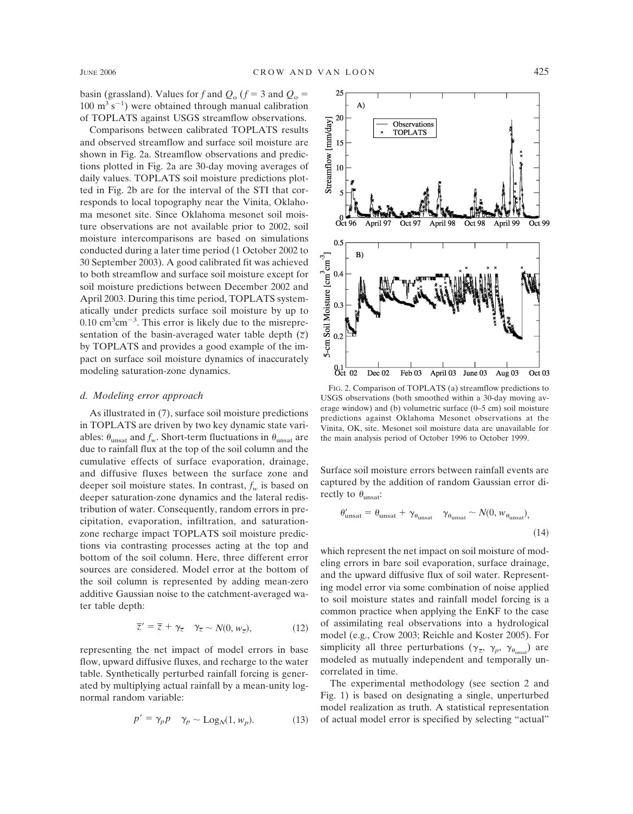basin (grassland). Values for *f* and  $Q_0$  ( $f = 3$  and  $Q_0 =$  $100 \text{ m}^3 \text{ s}^{-1}$ ) were obtained through manual calibration of TOPLATS against USGS streamflow observations.

Comparisons between calibrated TOPLATS results and observed streamflow and surface soil moisture are shown in Fig. 2a. Streamflow observations and predictions plotted in Fig. 2a are 30-day moving averages of daily values. TOPLATS soil moisture predictions plotted in Fig. 2b are for the interval of the STI that corresponds to local topography near the Vinita, Oklahoma mesonet site. Since Oklahoma mesonet soil moisture observations are not available prior to 2002, soil moisture intercomparisons are based on simulations conducted during a later time period (1 October 2002 to 30 September 2003). A good calibrated fit was achieved to both streamflow and surface soil moisture except for soil moisture predictions between December 2002 and April 2003. During this time period, TOPLATS systematically under predicts surface soil moisture by up to  $0.10 \text{ cm}^3 \text{ cm}^{-3}$ . This error is likely due to the misrepresentation of the basin-averaged water table depth  $(\bar{z})$ by TOPLATS and provides a good example of the impact on surface soil moisture dynamics of inaccurately modeling saturation-zone dynamics.

### *d. Modeling error approach*

As illustrated in (7), surface soil moisture predictions in TOPLATS are driven by two key dynamic state variables:  $\theta_{\text{unsat}}$  and  $f_w$ . Short-term fluctuations in  $\theta_{\text{unsat}}$  are due to rainfall flux at the top of the soil column and the cumulative effects of surface evaporation, drainage, and diffusive fluxes between the surface zone and deeper soil moisture states. In contrast,  $f_w$  is based on deeper saturation-zone dynamics and the lateral redistribution of water. Consequently, random errors in precipitation, evaporation, infiltration, and saturationzone recharge impact TOPLATS soil moisture predictions via contrasting processes acting at the top and bottom of the soil column. Here, three different error sources are considered. Model error at the bottom of the soil column is represented by adding mean-zero additive Gaussian noise to the catchment-averaged water table depth:

$$
\overline{z}' = \overline{z} + \gamma_{\overline{z}} \quad \gamma_{\overline{z}} \sim N(0, w_{\overline{z}}), \tag{12}
$$

representing the net impact of model errors in base flow, upward diffusive fluxes, and recharge to the water table. Synthetically perturbed rainfall forcing is generated by multiplying actual rainfall by a mean-unity lognormal random variable:

$$
p' = \gamma_p p \quad \gamma_p \sim \text{Log}_N(1, w_p). \tag{13}
$$



FIG. 2. Comparison of TOPLATS (a) streamflow predictions to USGS observations (both smoothed within a 30-day moving average window) and (b) volumetric surface (0–5 cm) soil moisture predictions against Oklahoma Mesonet observations at the Vinita, OK, site. Mesonet soil moisture data are unavailable for the main analysis period of October 1996 to October 1999.

Surface soil moisture errors between rainfall events are captured by the addition of random Gaussian error directly to  $\theta_{\text{unsat}}$ :

$$
\theta'_{\text{unsat}} = \theta_{\text{unsat}} + \gamma_{\theta_{\text{unsat}}} \gamma_{\theta_{\text{unsat}}} \sim N(0, w_{\theta_{\text{unsat}}}),
$$
\n(14)

which represent the net impact on soil moisture of modeling errors in bare soil evaporation, surface drainage, and the upward diffusive flux of soil water. Representing model error via some combination of noise applied to soil moisture states and rainfall model forcing is a common practice when applying the EnKF to the case of assimilating real observations into a hydrological model (e.g., Crow 2003; Reichle and Koster 2005). For simplicity all three perturbations ( $\gamma_{\overline{z}}$ ,  $\gamma_p$ ,  $\gamma_{\theta_{\text{unsat}}}\rangle$ ) are modeled as mutually independent and temporally uncorrelated in time.

The experimental methodology (see section 2 and Fig. 1) is based on designating a single, unperturbed model realization as truth. A statistical representation of actual model error is specified by selecting "actual"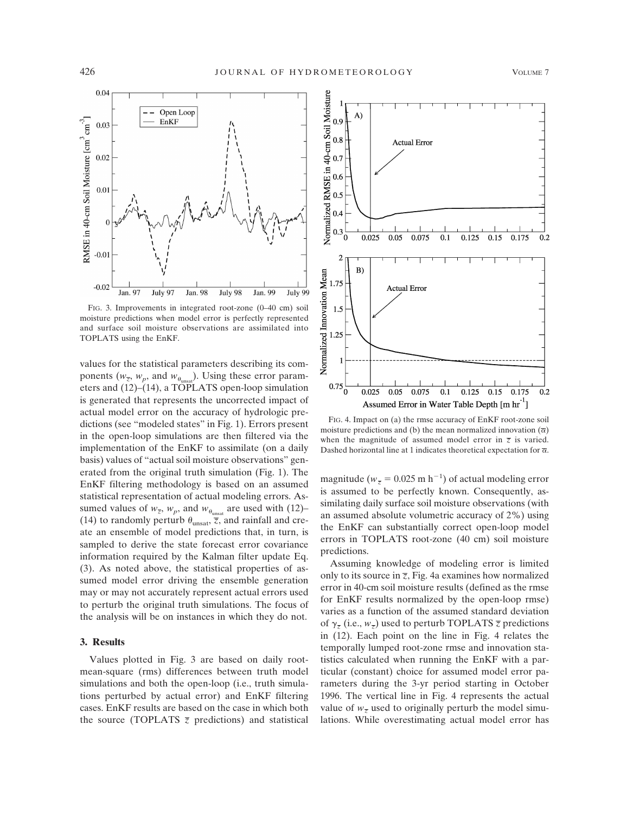

FIG. 3. Improvements in integrated root-zone (0–40 cm) soil moisture predictions when model error is perfectly represented and surface soil moisture observations are assimilated into TOPLATS using the EnKF.

values for the statistical parameters describing its components ( $w_{\overline{z}}$ ,  $w_p$ , and  $w_{\theta_{\text{unmost}}}$ ). Using these error parameters and (12)–(14), a TOPLATS open-loop simulation is generated that represents the uncorrected impact of actual model error on the accuracy of hydrologic predictions (see "modeled states" in Fig. 1). Errors present in the open-loop simulations are then filtered via the implementation of the EnKF to assimilate (on a daily basis) values of "actual soil moisture observations" generated from the original truth simulation (Fig. 1). The EnKF filtering methodology is based on an assumed statistical representation of actual modeling errors. Assumed values of  $w_{\overline{z}}$ ,  $w_p$ , and  $w_{\theta_{\text{unsat}}}$  are used with (12)– (14) to randomly perturb  $\theta_{\text{unsat}}$ ,  $\overline{z}$ , and rainfall and create an ensemble of model predictions that, in turn, is sampled to derive the state forecast error covariance information required by the Kalman filter update Eq. (3). As noted above, the statistical properties of assumed model error driving the ensemble generation may or may not accurately represent actual errors used to perturb the original truth simulations. The focus of the analysis will be on instances in which they do not.

#### **3. Results**

Values plotted in Fig. 3 are based on daily rootmean-square (rms) differences between truth model simulations and both the open-loop (i.e., truth simulations perturbed by actual error) and EnKF filtering cases. EnKF results are based on the case in which both the source (TOPLATS  $\overline{z}$  predictions) and statistical



FIG. 4. Impact on (a) the rmse accuracy of EnKF root-zone soil moisture predictions and (b) the mean normalized innovation  $(\overline{\alpha})$ when the magnitude of assumed model error in  $\overline{z}$  is varied. Dashed horizontal line at 1 indicates theoretical expectation for  $\overline{\alpha}$ .

magnitude ( $w_{\overline{z}} = 0.025$  m h<sup>-1</sup>) of actual modeling error is assumed to be perfectly known. Consequently, assimilating daily surface soil moisture observations (with an assumed absolute volumetric accuracy of 2%) using the EnKF can substantially correct open-loop model errors in TOPLATS root-zone (40 cm) soil moisture predictions.

Assuming knowledge of modeling error is limited only to its source in  $\overline{z}$ , Fig. 4a examines how normalized error in 40-cm soil moisture results (defined as the rmse for EnKF results normalized by the open-loop rmse) varies as a function of the assumed standard deviation of  $\gamma_{\overline{z}}$  (i.e.,  $w_{\overline{z}}$ ) used to perturb TOPLATS  $\overline{z}$  predictions in (12). Each point on the line in Fig. 4 relates the temporally lumped root-zone rmse and innovation statistics calculated when running the EnKF with a particular (constant) choice for assumed model error parameters during the 3-yr period starting in October 1996. The vertical line in Fig. 4 represents the actual value of  $w_{\overline{z}}$  used to originally perturb the model simulations. While overestimating actual model error has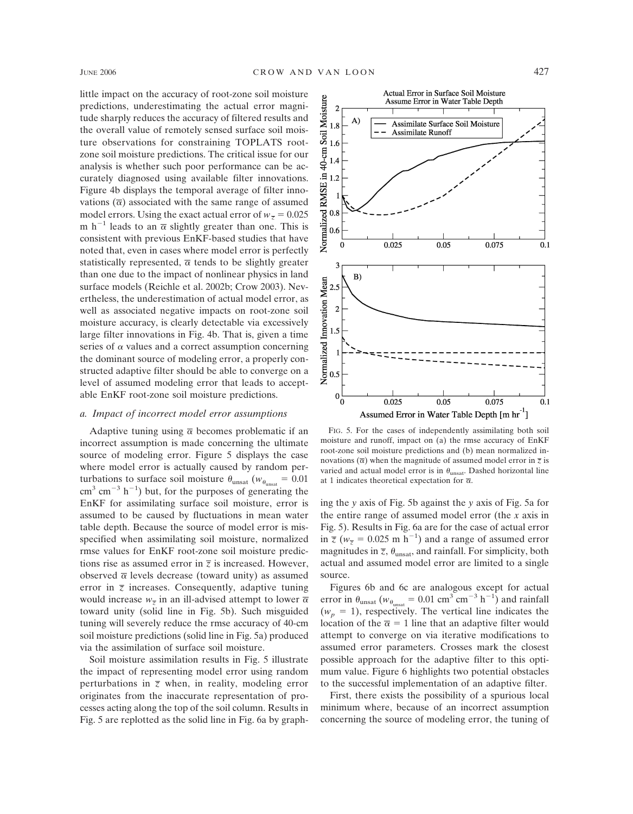little impact on the accuracy of root-zone soil moisture predictions, underestimating the actual error magnitude sharply reduces the accuracy of filtered results and the overall value of remotely sensed surface soil moisture observations for constraining TOPLATS rootzone soil moisture predictions. The critical issue for our analysis is whether such poor performance can be accurately diagnosed using available filter innovations. Figure 4b displays the temporal average of filter innovations  $(\overline{\alpha})$  associated with the same range of assumed model errors. Using the exact actual error of  $w_{\overline{z}} = 0.025$ m h<sup>-1</sup> leads to an  $\overline{\alpha}$  slightly greater than one. This is consistent with previous EnKF-based studies that have noted that, even in cases where model error is perfectly statistically represented,  $\bar{\alpha}$  tends to be slightly greater than one due to the impact of nonlinear physics in land surface models (Reichle et al. 2002b; Crow 2003). Nevertheless, the underestimation of actual model error, as well as associated negative impacts on root-zone soil moisture accuracy, is clearly detectable via excessively large filter innovations in Fig. 4b. That is, given a time series of  $\alpha$  values and a correct assumption concerning the dominant source of modeling error, a properly constructed adaptive filter should be able to converge on a level of assumed modeling error that leads to acceptable EnKF root-zone soil moisture predictions.

### *a. Impact of incorrect model error assumptions*

Adaptive tuning using  $\bar{\alpha}$  becomes problematic if an incorrect assumption is made concerning the ultimate source of modeling error. Figure 5 displays the case where model error is actually caused by random perturbations to surface soil moisture  $\theta_{\text{unsat}}$  ( $w_{\theta_{\text{unsat}}} = 0.01$ )  $\text{cm}^3$  cm<sup>-3</sup> h<sup>-1</sup>) but, for the purposes of generating the EnKF for assimilating surface soil moisture, error is assumed to be caused by fluctuations in mean water table depth. Because the source of model error is misspecified when assimilating soil moisture, normalized rmse values for EnKF root-zone soil moisture predictions rise as assumed error in  $\overline{z}$  is increased. However, observed  $\bar{\alpha}$  levels decrease (toward unity) as assumed error in  $\overline{z}$  increases. Consequently, adaptive tuning would increase  $w_{\overline{z}}$  in an ill-advised attempt to lower  $\overline{\alpha}$ toward unity (solid line in Fig. 5b). Such misguided tuning will severely reduce the rmse accuracy of 40-cm soil moisture predictions (solid line in Fig. 5a) produced via the assimilation of surface soil moisture.

Soil moisture assimilation results in Fig. 5 illustrate the impact of representing model error using random perturbations in  $\overline{z}$  when, in reality, modeling error originates from the inaccurate representation of processes acting along the top of the soil column. Results in Fig. 5 are replotted as the solid line in Fig. 6a by graph-



FIG. 5. For the cases of independently assimilating both soil moisture and runoff, impact on (a) the rmse accuracy of EnKF root-zone soil moisture predictions and (b) mean normalized innovations  $(\overline{\alpha})$  when the magnitude of assumed model error in  $\overline{z}$  is varied and actual model error is in  $\theta_{\text{unsat}}$ . Dashed horizontal line at 1 indicates theoretical expectation for  $\bar{\alpha}$ .

ing the *y* axis of Fig. 5b against the *y* axis of Fig. 5a for the entire range of assumed model error (the *x* axis in Fig. 5). Results in Fig. 6a are for the case of actual error in  $\overline{z}$  ( $w_{\overline{z}} = 0.025$  m h<sup>-1</sup>) and a range of assumed error magnitudes in  $\overline{z}$ ,  $\theta_{\text{unsat}}$ , and rainfall. For simplicity, both actual and assumed model error are limited to a single source.

Figures 6b and 6c are analogous except for actual error in  $\theta_{\text{unsat}}$  ( $w_{\theta_{\text{unsat}}}$  = 0.01 cm<sup>3</sup> cm<sup>-3</sup> h<sup>-1</sup>) and rainfall  $(w_p = 1)$ , respectively. The vertical line indicates the location of the  $\bar{\alpha} = 1$  line that an adaptive filter would attempt to converge on via iterative modifications to assumed error parameters. Crosses mark the closest possible approach for the adaptive filter to this optimum value. Figure 6 highlights two potential obstacles to the successful implementation of an adaptive filter.

First, there exists the possibility of a spurious local minimum where, because of an incorrect assumption concerning the source of modeling error, the tuning of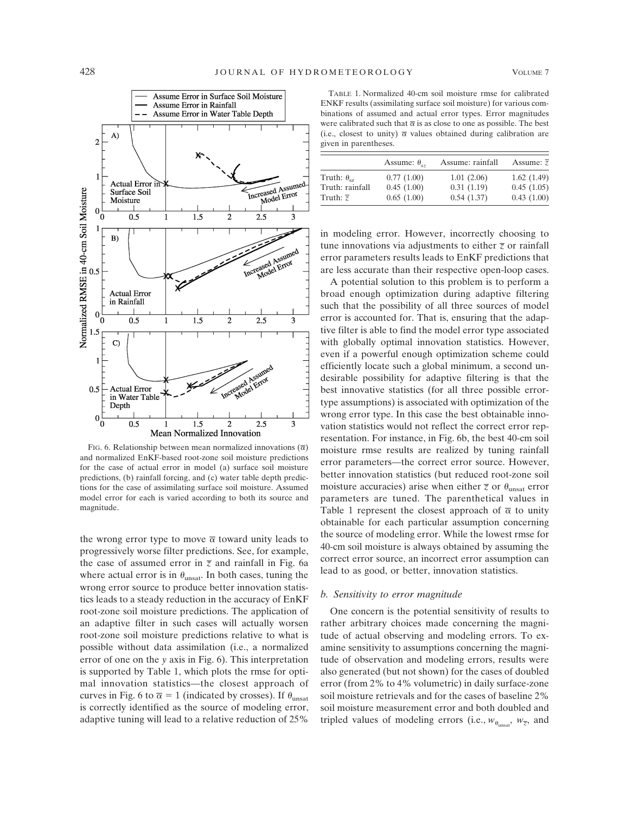

FIG. 6. Relationship between mean normalized innovations  $(\overline{\alpha})$ and normalized EnKF-based root-zone soil moisture predictions for the case of actual error in model (a) surface soil moisture predictions, (b) rainfall forcing, and (c) water table depth predictions for the case of assimilating surface soil moisture. Assumed model error for each is varied according to both its source and magnitude.

the wrong error type to move  $\bar{\alpha}$  toward unity leads to progressively worse filter predictions. See, for example, the case of assumed error in  $\overline{z}$  and rainfall in Fig. 6a where actual error is in  $\theta_{\text{unsat}}$ . In both cases, tuning the wrong error source to produce better innovation statistics leads to a steady reduction in the accuracy of EnKF root-zone soil moisture predictions. The application of an adaptive filter in such cases will actually worsen root-zone soil moisture predictions relative to what is possible without data assimilation (i.e., a normalized error of one on the *y* axis in Fig. 6). This interpretation is supported by Table 1, which plots the rmse for optimal innovation statistics—the closest approach of curves in Fig. 6 to  $\overline{\alpha} = 1$  (indicated by crosses). If  $\theta_{\text{unsat}}$ is correctly identified as the source of modeling error, adaptive tuning will lead to a relative reduction of 25%

TABLE 1. Normalized 40-cm soil moisture rmse for calibrated ENKF results (assimilating surface soil moisture) for various combinations of assumed and actual error types. Error magnitudes were calibrated such that  $\bar{\alpha}$  is as close to one as possible. The best (i.e., closest to unity)  $\bar{\alpha}$  values obtained during calibration are given in parentheses.

|                       | Assume: $\theta_{.7}$ | Assume: rainfall | Assume: $\overline{z}$ |
|-----------------------|-----------------------|------------------|------------------------|
| Truth: $\theta_{sz}$  | 0.77(1.00)            | 1.01(2.06)       | 1.62(1.49)             |
| Truth: rainfall       | 0.45(1.00)            | 0.31(1.19)       | 0.45(1.05)             |
| Truth: $\overline{z}$ | 0.65(1.00)            | 0.54(1.37)       | 0.43(1.00)             |

in modeling error. However, incorrectly choosing to tune innovations via adjustments to either  $\bar{z}$  or rainfall error parameters results leads to EnKF predictions that are less accurate than their respective open-loop cases.

A potential solution to this problem is to perform a broad enough optimization during adaptive filtering such that the possibility of all three sources of model error is accounted for. That is, ensuring that the adaptive filter is able to find the model error type associated with globally optimal innovation statistics. However, even if a powerful enough optimization scheme could efficiently locate such a global minimum, a second undesirable possibility for adaptive filtering is that the best innovative statistics (for all three possible errortype assumptions) is associated with optimization of the wrong error type. In this case the best obtainable innovation statistics would not reflect the correct error representation. For instance, in Fig. 6b, the best 40-cm soil moisture rmse results are realized by tuning rainfall error parameters—the correct error source. However, better innovation statistics (but reduced root-zone soil moisture accuracies) arise when either  $\bar{z}$  or  $\theta_{\text{unsat}}$  error parameters are tuned. The parenthetical values in Table 1 represent the closest approach of  $\bar{\alpha}$  to unity obtainable for each particular assumption concerning the source of modeling error. While the lowest rmse for 40-cm soil moisture is always obtained by assuming the correct error source, an incorrect error assumption can lead to as good, or better, innovation statistics.

# *b. Sensitivity to error magnitude*

One concern is the potential sensitivity of results to rather arbitrary choices made concerning the magnitude of actual observing and modeling errors. To examine sensitivity to assumptions concerning the magnitude of observation and modeling errors, results were also generated (but not shown) for the cases of doubled error (from 2% to 4% volumetric) in daily surface-zone soil moisture retrievals and for the cases of baseline 2% soil moisture measurement error and both doubled and tripled values of modeling errors (i.e.,  $w_{\theta_{\text{untest}}}, w_{\overline{z}}$ , and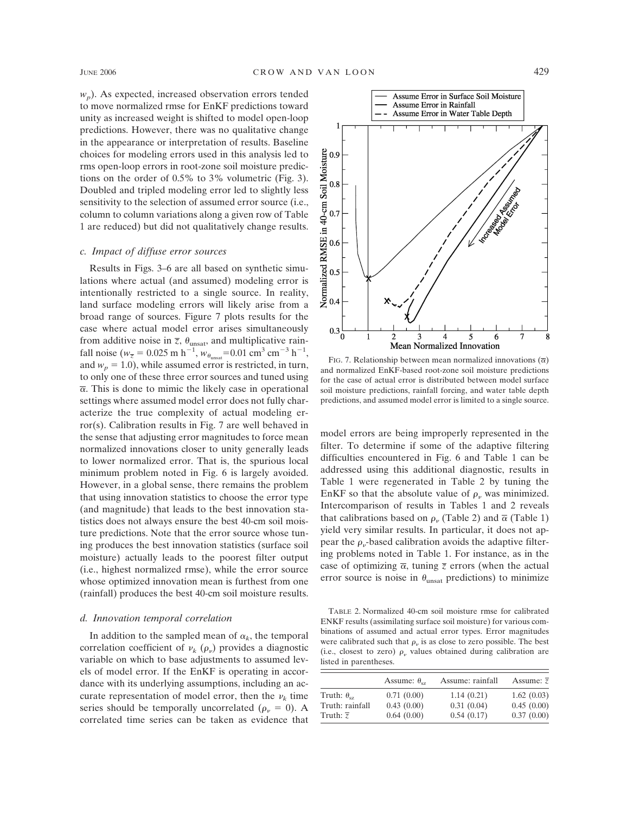$w_p$ ). As expected, increased observation errors tended to move normalized rmse for EnKF predictions toward unity as increased weight is shifted to model open-loop predictions. However, there was no qualitative change in the appearance or interpretation of results. Baseline choices for modeling errors used in this analysis led to rms open-loop errors in root-zone soil moisture predictions on the order of 0.5% to 3% volumetric (Fig. 3). Doubled and tripled modeling error led to slightly less sensitivity to the selection of assumed error source (i.e., column to column variations along a given row of Table 1 are reduced) but did not qualitatively change results.

# *c. Impact of diffuse error sources*

Results in Figs. 3–6 are all based on synthetic simulations where actual (and assumed) modeling error is intentionally restricted to a single source. In reality, land surface modeling errors will likely arise from a broad range of sources. Figure 7 plots results for the case where actual model error arises simultaneously from additive noise in  $\overline{z}$ ,  $\theta_{\text{unsat}}$ , and multiplicative rainfall noise ( $w_{\overline{z}} = 0.025$  m h<sup>-1</sup>,  $w_{\theta_{\text{unsat}}} = 0.01$  cm<sup>3</sup> cm<sup>-3</sup> h<sup>-1</sup>, and  $w_p = 1.0$ ), while assumed error is restricted, in turn, to only one of these three error sources and tuned using  $\overline{\alpha}$ . This is done to mimic the likely case in operational settings where assumed model error does not fully characterize the true complexity of actual modeling error(s). Calibration results in Fig. 7 are well behaved in the sense that adjusting error magnitudes to force mean normalized innovations closer to unity generally leads to lower normalized error. That is, the spurious local minimum problem noted in Fig. 6 is largely avoided. However, in a global sense, there remains the problem that using innovation statistics to choose the error type (and magnitude) that leads to the best innovation statistics does not always ensure the best 40-cm soil moisture predictions. Note that the error source whose tuning produces the best innovation statistics (surface soil moisture) actually leads to the poorest filter output (i.e., highest normalized rmse), while the error source whose optimized innovation mean is furthest from one (rainfall) produces the best 40-cm soil moisture results.

### *d. Innovation temporal correlation*

In addition to the sampled mean of  $\alpha_k$ , the temporal correlation coefficient of  $\nu_k$  ( $\rho_{\nu}$ ) provides a diagnostic variable on which to base adjustments to assumed levels of model error. If the EnKF is operating in accordance with its underlying assumptions, including an accurate representation of model error, then the  $\nu_k$  time series should be temporally uncorrelated ( $\rho_{\nu} = 0$ ). A correlated time series can be taken as evidence that



FIG. 7. Relationship between mean normalized innovations  $(\overline{\alpha})$ and normalized EnKF-based root-zone soil moisture predictions for the case of actual error is distributed between model surface soil moisture predictions, rainfall forcing, and water table depth predictions, and assumed model error is limited to a single source.

model errors are being improperly represented in the filter. To determine if some of the adaptive filtering difficulties encountered in Fig. 6 and Table 1 can be addressed using this additional diagnostic, results in Table 1 were regenerated in Table 2 by tuning the EnKF so that the absolute value of  $\rho_{\nu}$  was minimized. Intercomparison of results in Tables 1 and 2 reveals that calibrations based on  $\rho_{\nu}$  (Table 2) and  $\bar{\alpha}$  (Table 1) yield very similar results. In particular, it does not appear the  $\rho_{\nu}$ -based calibration avoids the adaptive filtering problems noted in Table 1. For instance, as in the case of optimizing  $\overline{\alpha}$ , tuning  $\overline{z}$  errors (when the actual error source is noise in  $\theta_{\text{unsat}}$  predictions) to minimize

TABLE 2. Normalized 40-cm soil moisture rmse for calibrated ENKF results (assimilating surface soil moisture) for various combinations of assumed and actual error types. Error magnitudes were calibrated such that  $\rho_{\nu}$  is as close to zero possible. The best (i.e., closest to zero)  $\rho_{\nu}$  values obtained during calibration are listed in parentheses.

|                          | Assume: $\theta_{sz}$ | Assume: rainfall | Assume: $\overline{z}$ |
|--------------------------|-----------------------|------------------|------------------------|
| Truth: $\theta_{\rm cz}$ | 0.71(0.00)            | 1.14(0.21)       | 1.62(0.03)             |
| Truth: rainfall          | 0.43(0.00)            | 0.31(0.04)       | 0.45(0.00)             |
| Truth: $\overline{z}$    | 0.64(0.00)            | 0.54(0.17)       | 0.37(0.00)             |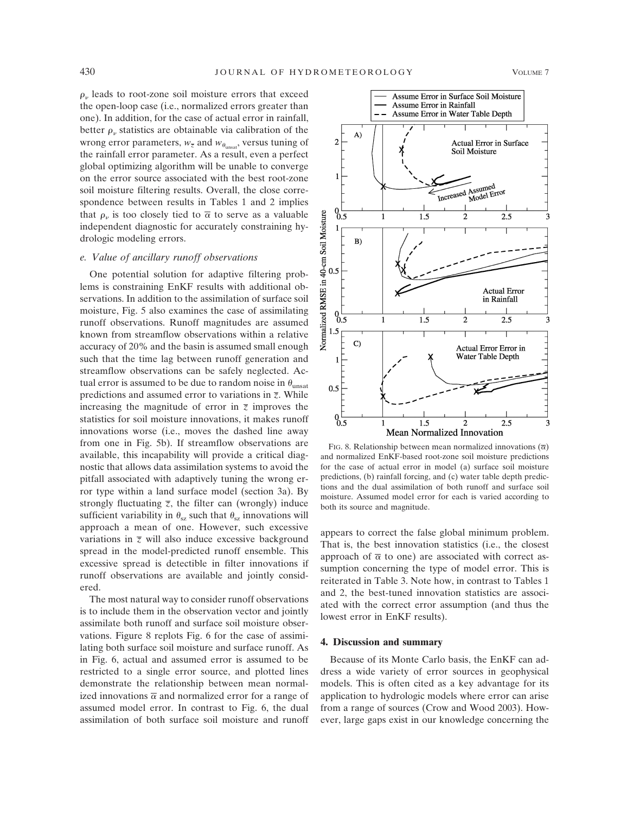$\rho_{\nu}$  leads to root-zone soil moisture errors that exceed the open-loop case (i.e., normalized errors greater than one). In addition, for the case of actual error in rainfall, better  $\rho_{\nu}$  statistics are obtainable via calibration of the wrong error parameters,  $w_{\overline{z}}$  and  $w_{\theta_{\text{unsat}}},$  versus tuning of the rainfall error parameter. As a result, even a perfect global optimizing algorithm will be unable to converge on the error source associated with the best root-zone soil moisture filtering results. Overall, the close correspondence between results in Tables 1 and 2 implies that  $\rho_n$  is too closely tied to  $\overline{\alpha}$  to serve as a valuable independent diagnostic for accurately constraining hydrologic modeling errors.

# *e. Value of ancillary runoff observations*

One potential solution for adaptive filtering problems is constraining EnKF results with additional observations. In addition to the assimilation of surface soil moisture, Fig. 5 also examines the case of assimilating runoff observations. Runoff magnitudes are assumed known from streamflow observations within a relative accuracy of 20% and the basin is assumed small enough such that the time lag between runoff generation and streamflow observations can be safely neglected. Actual error is assumed to be due to random noise in  $\theta_{\text{unsat}}$ predictions and assumed error to variations in *z*. While increasing the magnitude of error in  $\overline{z}$  improves the statistics for soil moisture innovations, it makes runoff innovations worse (i.e., moves the dashed line away from one in Fig. 5b). If streamflow observations are available, this incapability will provide a critical diagnostic that allows data assimilation systems to avoid the pitfall associated with adaptively tuning the wrong error type within a land surface model (section 3a). By strongly fluctuating  $\overline{z}$ , the filter can (wrongly) induce sufficient variability in  $\theta_{sz}$  such that  $\theta_{sz}$  innovations will approach a mean of one. However, such excessive variations in  $\overline{z}$  will also induce excessive background spread in the model-predicted runoff ensemble. This excessive spread is detectible in filter innovations if runoff observations are available and jointly considered.

The most natural way to consider runoff observations is to include them in the observation vector and jointly assimilate both runoff and surface soil moisture observations. Figure 8 replots Fig. 6 for the case of assimilating both surface soil moisture and surface runoff. As in Fig. 6, actual and assumed error is assumed to be restricted to a single error source, and plotted lines demonstrate the relationship between mean normalized innovations  $\overline{\alpha}$  and normalized error for a range of assumed model error. In contrast to Fig. 6, the dual assimilation of both surface soil moisture and runoff



FIG. 8. Relationship between mean normalized innovations  $(\overline{\alpha})$ and normalized EnKF-based root-zone soil moisture predictions for the case of actual error in model (a) surface soil moisture predictions, (b) rainfall forcing, and (c) water table depth predictions and the dual assimilation of both runoff and surface soil moisture. Assumed model error for each is varied according to both its source and magnitude.

appears to correct the false global minimum problem. That is, the best innovation statistics (i.e., the closest approach of  $\bar{\alpha}$  to one) are associated with correct assumption concerning the type of model error. This is reiterated in Table 3. Note how, in contrast to Tables 1 and 2, the best-tuned innovation statistics are associated with the correct error assumption (and thus the lowest error in EnKF results).

#### **4. Discussion and summary**

Because of its Monte Carlo basis, the EnKF can address a wide variety of error sources in geophysical models. This is often cited as a key advantage for its application to hydrologic models where error can arise from a range of sources (Crow and Wood 2003). However, large gaps exist in our knowledge concerning the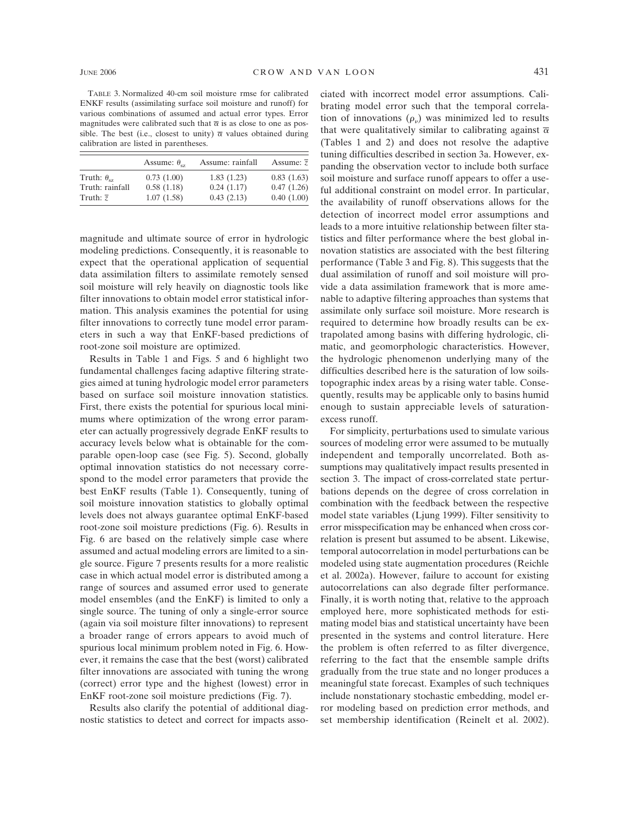TABLE 3. Normalized 40-cm soil moisture rmse for calibrated ENKF results (assimilating surface soil moisture and runoff) for various combinations of assumed and actual error types. Error magnitudes were calibrated such that  $\bar{\alpha}$  is as close to one as possible. The best (i.e., closest to unity)  $\bar{\alpha}$  values obtained during calibration are listed in parentheses.

|                       | Assume: $\theta_{sz}$ | Assume: rainfall | Assume: $\overline{z}$ |
|-----------------------|-----------------------|------------------|------------------------|
| Truth: $\theta_{ex}$  | 0.73(1.00)            | 1.83(1.23)       | 0.83(1.63)             |
| Truth: rainfall       | 0.58(1.18)            | 0.24(1.17)       | 0.47(1.26)             |
| Truth: $\overline{z}$ | 1.07(1.58)            | 0.43(2.13)       | 0.40(1.00)             |

magnitude and ultimate source of error in hydrologic modeling predictions. Consequently, it is reasonable to expect that the operational application of sequential data assimilation filters to assimilate remotely sensed soil moisture will rely heavily on diagnostic tools like filter innovations to obtain model error statistical information. This analysis examines the potential for using filter innovations to correctly tune model error parameters in such a way that EnKF-based predictions of root-zone soil moisture are optimized.

Results in Table 1 and Figs. 5 and 6 highlight two fundamental challenges facing adaptive filtering strategies aimed at tuning hydrologic model error parameters based on surface soil moisture innovation statistics. First, there exists the potential for spurious local minimums where optimization of the wrong error parameter can actually progressively degrade EnKF results to accuracy levels below what is obtainable for the comparable open-loop case (see Fig. 5). Second, globally optimal innovation statistics do not necessary correspond to the model error parameters that provide the best EnKF results (Table 1). Consequently, tuning of soil moisture innovation statistics to globally optimal levels does not always guarantee optimal EnKF-based root-zone soil moisture predictions (Fig. 6). Results in Fig. 6 are based on the relatively simple case where assumed and actual modeling errors are limited to a single source. Figure 7 presents results for a more realistic case in which actual model error is distributed among a range of sources and assumed error used to generate model ensembles (and the EnKF) is limited to only a single source. The tuning of only a single-error source (again via soil moisture filter innovations) to represent a broader range of errors appears to avoid much of spurious local minimum problem noted in Fig. 6. However, it remains the case that the best (worst) calibrated filter innovations are associated with tuning the wrong (correct) error type and the highest (lowest) error in EnKF root-zone soil moisture predictions (Fig. 7).

Results also clarify the potential of additional diagnostic statistics to detect and correct for impacts associated with incorrect model error assumptions. Calibrating model error such that the temporal correlation of innovations  $(\rho_{\nu})$  was minimized led to results that were qualitatively similar to calibrating against  $\overline{\alpha}$ (Tables 1 and 2) and does not resolve the adaptive tuning difficulties described in section 3a. However, expanding the observation vector to include both surface soil moisture and surface runoff appears to offer a useful additional constraint on model error. In particular, the availability of runoff observations allows for the detection of incorrect model error assumptions and leads to a more intuitive relationship between filter statistics and filter performance where the best global innovation statistics are associated with the best filtering performance (Table 3 and Fig. 8). This suggests that the dual assimilation of runoff and soil moisture will provide a data assimilation framework that is more amenable to adaptive filtering approaches than systems that assimilate only surface soil moisture. More research is required to determine how broadly results can be extrapolated among basins with differing hydrologic, climatic, and geomorphologic characteristics. However, the hydrologic phenomenon underlying many of the difficulties described here is the saturation of low soilstopographic index areas by a rising water table. Consequently, results may be applicable only to basins humid enough to sustain appreciable levels of saturationexcess runoff.

For simplicity, perturbations used to simulate various sources of modeling error were assumed to be mutually independent and temporally uncorrelated. Both assumptions may qualitatively impact results presented in section 3. The impact of cross-correlated state perturbations depends on the degree of cross correlation in combination with the feedback between the respective model state variables (Ljung 1999). Filter sensitivity to error misspecification may be enhanced when cross correlation is present but assumed to be absent. Likewise, temporal autocorrelation in model perturbations can be modeled using state augmentation procedures (Reichle et al. 2002a). However, failure to account for existing autocorrelations can also degrade filter performance. Finally, it is worth noting that, relative to the approach employed here, more sophisticated methods for estimating model bias and statistical uncertainty have been presented in the systems and control literature. Here the problem is often referred to as filter divergence, referring to the fact that the ensemble sample drifts gradually from the true state and no longer produces a meaningful state forecast. Examples of such techniques include nonstationary stochastic embedding, model error modeling based on prediction error methods, and set membership identification (Reinelt et al. 2002).